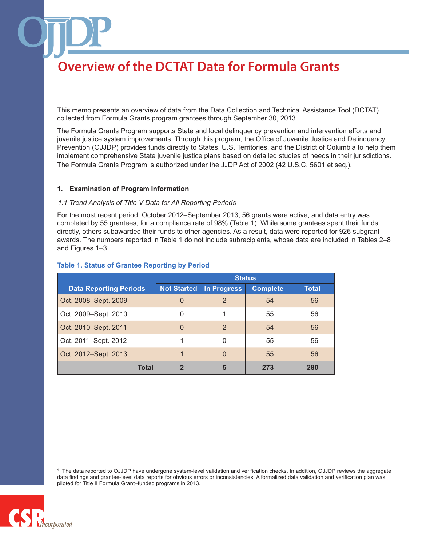This memo presents an overview of data from the Data Collection and Technical Assistance Tool (DCTAT) collected from Formula Grants program grantees through September 30, 2013.<sup>1</sup>

The Formula Grants Program supports State and local delinquency prevention and intervention efforts and juvenile justice system improvements. Through this program, the Office of Juvenile Justice and Delinquency Prevention (OJJDP) provides funds directly to States, U.S. Territories, and the District of Columbia to help them implement comprehensive State juvenile justice plans based on detailed studies of needs in their jurisdictions. The Formula Grants Program is authorized under the JJDP Act of 2002 (42 U.S.C. 5601 et seq.).

#### **1. Examination of Program Information**

#### *1.1 Trend Analysis of Title V Data for All Reporting Periods*

For the most recent period, October 2012–September 2013, 56 grants were active, and data entry was completed by 55 grantees, for a compliance rate of 98% (Table 1). While some grantees spent their funds directly, others subawarded their funds to other agencies. As a result, data were reported for 926 subgrant awards. The numbers reported in Table 1 do not include subrecipients, whose data are included in Tables 2–8 and Figures 1–3.

|                               | <b>Status</b>      |                    |                 |              |
|-------------------------------|--------------------|--------------------|-----------------|--------------|
| <b>Data Reporting Periods</b> | <b>Not Started</b> | <b>In Progress</b> | <b>Complete</b> | <b>Total</b> |
| Oct. 2008-Sept. 2009          | $\overline{0}$     | 2                  | 54              | 56           |
| Oct. 2009-Sept. 2010          | 0                  |                    | 55              | 56           |
| Oct. 2010–Sept. 2011          | $\Omega$           | 2                  | 54              | 56           |
| Oct. 2011-Sept. 2012          |                    | 0                  | 55              | 56           |
| Oct. 2012-Sept. 2013          |                    | $\Omega$           | 55              | 56           |
| <b>Total</b>                  | 2                  | 5                  | 273             | 280          |

#### **Table 1. Status of Grantee Reporting by Period**

<sup>1</sup> The data reported to OJJDP have undergone system-level validation and verification checks. In addition, OJJDP reviews the aggregate data findings and grantee-level data reports for obvious errors or inconsistencies. A formalized data validation and verification plan was piloted for Title II Formula Grant–funded programs in 2013.

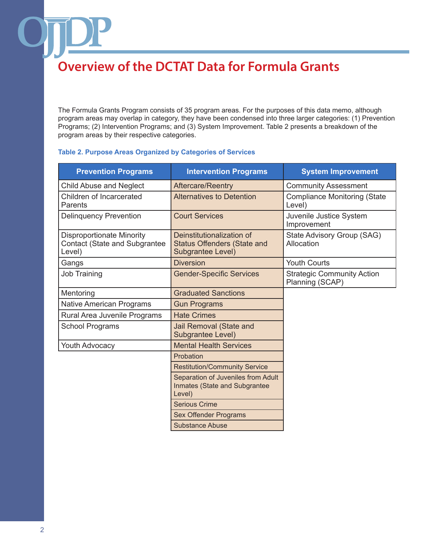The Formula Grants Program consists of 35 program areas. For the purposes of this data memo, although program areas may overlap in category, they have been condensed into three larger categories: (1) Prevention Programs; (2) Intervention Programs; and (3) System Improvement. Table 2 presents a breakdown of the program areas by their respective categories.

### **Table 2. Purpose Areas Organized by Categories of Services**

| <b>Prevention Programs</b>                                                         | <b>Intervention Programs</b>                                                         | <b>System Improvement</b>                            |
|------------------------------------------------------------------------------------|--------------------------------------------------------------------------------------|------------------------------------------------------|
| <b>Child Abuse and Neglect</b>                                                     | <b>Aftercare/Reentry</b>                                                             | <b>Community Assessment</b>                          |
| Children of Incarcerated<br>Parents                                                | <b>Alternatives to Detention</b>                                                     | <b>Compliance Monitoring (State</b><br>Level)        |
| <b>Delinquency Prevention</b>                                                      | <b>Court Services</b>                                                                | Juvenile Justice System<br>Improvement               |
| <b>Disproportionate Minority</b><br><b>Contact (State and Subgrantee</b><br>Level) | Deinstitutionalization of<br><b>Status Offenders (State and</b><br>Subgrantee Level) | State Advisory Group (SAG)<br>Allocation             |
| Gangs                                                                              | <b>Diversion</b>                                                                     | <b>Youth Courts</b>                                  |
| <b>Job Training</b>                                                                | <b>Gender-Specific Services</b>                                                      | <b>Strategic Community Action</b><br>Planning (SCAP) |
| Mentoring                                                                          | <b>Graduated Sanctions</b>                                                           |                                                      |
| <b>Native American Programs</b>                                                    | <b>Gun Programs</b>                                                                  |                                                      |
| Rural Area Juvenile Programs                                                       | <b>Hate Crimes</b>                                                                   |                                                      |
| <b>School Programs</b>                                                             | Jail Removal (State and<br>Subgrantee Level)                                         |                                                      |
| <b>Youth Advocacy</b>                                                              | <b>Mental Health Services</b>                                                        |                                                      |
|                                                                                    | Probation                                                                            |                                                      |
|                                                                                    | <b>Restitution/Community Service</b>                                                 |                                                      |
|                                                                                    | Separation of Juveniles from Adult<br>Inmates (State and Subgrantee<br>Level)        |                                                      |
|                                                                                    | <b>Serious Crime</b>                                                                 |                                                      |
|                                                                                    | <b>Sex Offender Programs</b>                                                         |                                                      |
|                                                                                    | <b>Substance Abuse</b>                                                               |                                                      |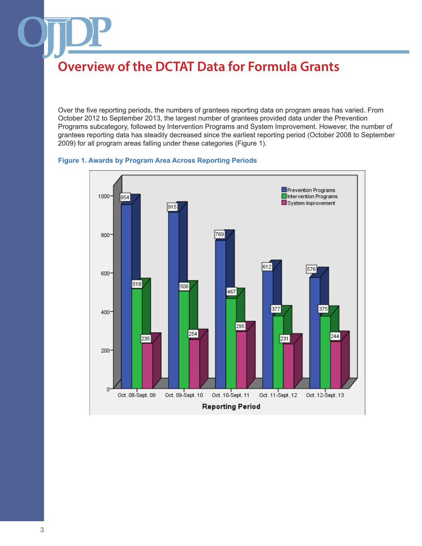Over the five reporting periods, the numbers of grantees reporting data on program areas has varied. From October 2012 to September 2013, the largest number of grantees provided data under the Prevention Programs subcategory, followed by Intervention Programs and System Improvement. However, the number of grantees reporting data has steadily decreased since the earliest reporting period (October 2008 to September 2009) for all program areas falling under these categories (Figure 1).



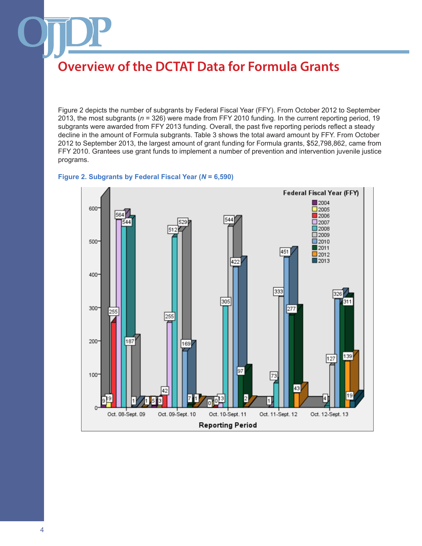Figure 2 depicts the number of subgrants by Federal Fiscal Year (FFY). From October 2012 to September 2013, the most subgrants (*n* = 326) were made from FFY 2010 funding. In the current reporting period, 19 subgrants were awarded from FFY 2013 funding. Overall, the past five reporting periods reflect a steady decline in the amount of Formula subgrants. Table 3 shows the total award amount by FFY. From October 2012 to September 2013, the largest amount of grant funding for Formula grants, \$52,798,862, came from FFY 2010. Grantees use grant funds to implement a number of prevention and intervention juvenile justice programs.



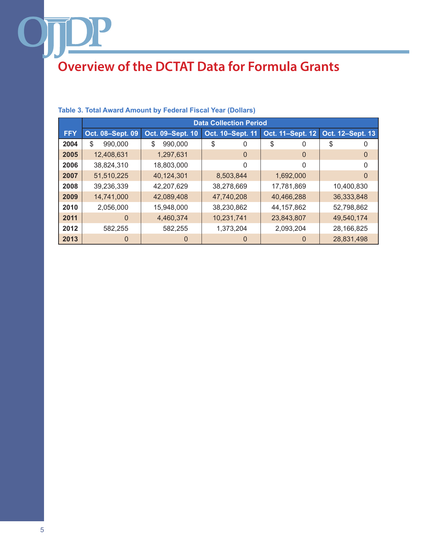|            | <b>Data Collection Period</b> |                  |                  |                  |                  |
|------------|-------------------------------|------------------|------------------|------------------|------------------|
| <b>FFY</b> | Oct. 08-Sept. 09              | Oct. 09-Sept. 10 | Oct. 10-Sept. 11 | Oct. 11-Sept. 12 | Oct. 12-Sept. 13 |
| 2004       | \$<br>990,000                 | \$<br>990,000    | \$<br>0          | \$<br>0          | \$               |
| 2005       | 12,408,631                    | 1,297,631        | 0                | 0                | O                |
| 2006       | 38,824,310                    | 18,803,000       | 0                | 0                |                  |
| 2007       | 51,510,225                    | 40,124,301       | 8,503,844        | 1,692,000        | $\cup$           |
| 2008       | 39,236,339                    | 42,207,629       | 38,278,669       | 17,781,869       | 10,400,830       |
| 2009       | 14,741,000                    | 42,089,408       | 47,740,208       | 40,466,288       | 36,333,848       |
| 2010       | 2,056,000                     | 15,948,000       | 38,230,862       | 44, 157, 862     | 52,798,862       |
| 2011       | 0                             | 4,460,374        | 10,231,741       | 23,843,807       | 49,540,174       |
| 2012       | 582,255                       | 582,255          | 1,373,204        | 2,093,204        | 28,166,825       |
| 2013       |                               | $\Omega$         | 0                |                  | 28,831,498       |

### **Table 3. Total Award Amount by Federal Fiscal Year (Dollars)**

DP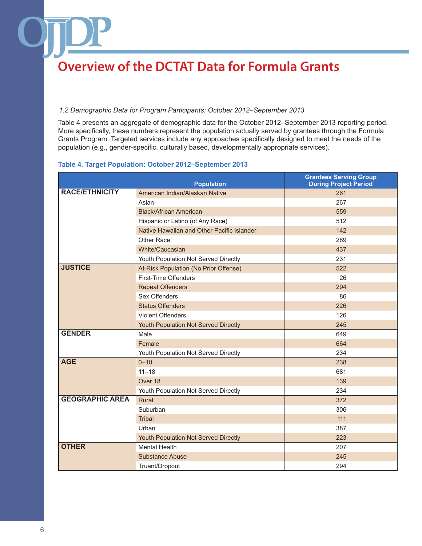### *1.2 Demographic Data for Program Participants: October 2012–September 2013*

Table 4 presents an aggregate of demographic data for the October 2012–September 2013 reporting period. More specifically, these numbers represent the population actually served by grantees through the Formula Grants Program. Targeted services include any approaches specifically designed to meet the needs of the population (e.g., gender-specific, culturally based, developmentally appropriate services).

### **Table 4. Target Population: October 2012–September 2013**

|                        | <b>Population</b>                          | <b>Grantees Serving Group</b><br><b>During Project Period</b> |
|------------------------|--------------------------------------------|---------------------------------------------------------------|
| <b>RACE/ETHNICITY</b>  | American Indian/Alaskan Native             | 261                                                           |
|                        | Asian                                      | 267                                                           |
|                        | <b>Black/African American</b>              | 559                                                           |
|                        | Hispanic or Latino (of Any Race)           | 512                                                           |
|                        | Native Hawaiian and Other Pacific Islander | 142                                                           |
|                        | Other Race                                 | 289                                                           |
|                        | White/Caucasian                            | 437                                                           |
|                        | Youth Population Not Served Directly       | 231                                                           |
| <b>JUSTICE</b>         | At-Risk Population (No Prior Offense)      | 522                                                           |
|                        | First-Time Offenders                       | 26                                                            |
|                        | <b>Repeat Offenders</b>                    | 294                                                           |
|                        | Sex Offenders                              | 86                                                            |
|                        | <b>Status Offenders</b>                    | 226                                                           |
|                        | <b>Violent Offenders</b>                   | 126                                                           |
|                        | Youth Population Not Served Directly       | 245                                                           |
| <b>GENDER</b>          | Male                                       | 649                                                           |
|                        | Female                                     | 664                                                           |
|                        | Youth Population Not Served Directly       | 234                                                           |
| <b>AGE</b>             | $0 - 10$                                   | 238                                                           |
|                        | $11 - 18$                                  | 681                                                           |
|                        | Over 18                                    | 139                                                           |
|                        | Youth Population Not Served Directly       | 234                                                           |
| <b>GEOGRAPHIC AREA</b> | Rural                                      | 372                                                           |
|                        | Suburban                                   | 306                                                           |
|                        | <b>Tribal</b>                              | 111                                                           |
|                        | Urban                                      | 387                                                           |
|                        | Youth Population Not Served Directly       | 223                                                           |
| <b>OTHER</b>           | <b>Mental Health</b>                       | 207                                                           |
|                        | <b>Substance Abuse</b>                     | 245                                                           |
|                        | Truant/Dropout                             | 294                                                           |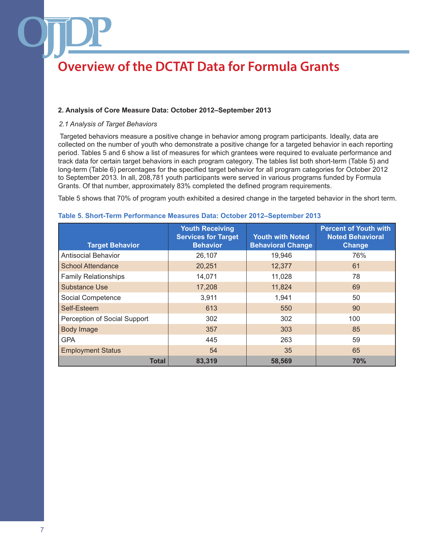### **2. Analysis of Core Measure Data: October 2012–September 2013**

#### *2.1 Analysis of Target Behaviors*

 Targeted behaviors measure a positive change in behavior among program participants. Ideally, data are collected on the number of youth who demonstrate a positive change for a targeted behavior in each reporting period. Tables 5 and 6 show a list of measures for which grantees were required to evaluate performance and track data for certain target behaviors in each program category. The tables list both short-term (Table 5) and long-term (Table 6) percentages for the specified target behavior for all program categories for October 2012 to September 2013. In all, 208,781 youth participants were served in various programs funded by Formula Grants. Of that number, approximately 83% completed the defined program requirements.

Table 5 shows that 70% of program youth exhibited a desired change in the targeted behavior in the short term.

| <b>Target Behavior</b>       | <b>Youth Receiving</b><br><b>Services for Target</b><br><b>Behavior</b> | <b>Youth with Noted</b><br><b>Behavioral Change</b> | <b>Percent of Youth with</b><br><b>Noted Behavioral</b><br>Change |
|------------------------------|-------------------------------------------------------------------------|-----------------------------------------------------|-------------------------------------------------------------------|
| Antisocial Behavior          | 26,107                                                                  | 19,946                                              | 76%                                                               |
| <b>School Attendance</b>     | 20,251                                                                  | 12,377                                              | 61                                                                |
| <b>Family Relationships</b>  | 14,071                                                                  | 11,028                                              | 78                                                                |
| <b>Substance Use</b>         | 17,208                                                                  | 11,824                                              | 69                                                                |
| Social Competence            | 3,911                                                                   | 1,941                                               | 50                                                                |
| Self-Esteem                  | 613                                                                     | 550                                                 | 90                                                                |
| Perception of Social Support | 302                                                                     | 302                                                 | 100                                                               |
| <b>Body Image</b>            | 357                                                                     | 303                                                 | 85                                                                |
| <b>GPA</b>                   | 445                                                                     | 263                                                 | 59                                                                |
| <b>Employment Status</b>     | 54                                                                      | 35                                                  | 65                                                                |
| <b>Total</b>                 | 83,319                                                                  | 58,569                                              | 70%                                                               |

#### **Table 5. Short-Term Performance Measures Data: October 2012–September 2013**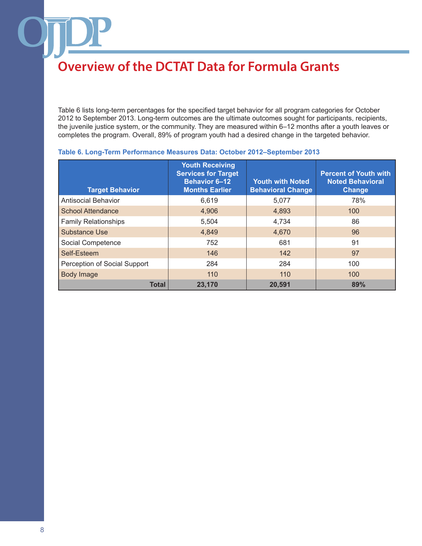Table 6 lists long-term percentages for the specified target behavior for all program categories for October 2012 to September 2013. Long-term outcomes are the ultimate outcomes sought for participants, recipients, the juvenile justice system, or the community. They are measured within 6–12 months after a youth leaves or completes the program. Overall, 89% of program youth had a desired change in the targeted behavior.

| <b>Target Behavior</b>       | <b>Youth Receiving</b><br><b>Services for Target</b><br><b>Behavior 6-12</b><br><b>Months Earlier</b> | <b>Youth with Noted</b><br><b>Behavioral Change</b> | <b>Percent of Youth with</b><br><b>Noted Behavioral</b><br>Change |
|------------------------------|-------------------------------------------------------------------------------------------------------|-----------------------------------------------------|-------------------------------------------------------------------|
| <b>Antisocial Behavior</b>   | 6,619                                                                                                 | 5,077                                               | 78%                                                               |
| <b>School Attendance</b>     | 4,906                                                                                                 | 4,893                                               | 100                                                               |
| <b>Family Relationships</b>  | 5,504                                                                                                 | 4,734                                               | 86                                                                |
| <b>Substance Use</b>         | 4,849                                                                                                 | 4,670                                               | 96                                                                |
| Social Competence            | 752                                                                                                   | 681                                                 | 91                                                                |
| Self-Esteem                  | 146                                                                                                   | 142                                                 | 97                                                                |
| Perception of Social Support | 284                                                                                                   | 284                                                 | 100                                                               |
| <b>Body Image</b>            | 110                                                                                                   | 110                                                 | 100                                                               |
| <b>Total</b>                 | 23,170                                                                                                | 20.591                                              | 89%                                                               |

#### **Table 6. Long-Term Performance Measures Data: October 2012–September 2013**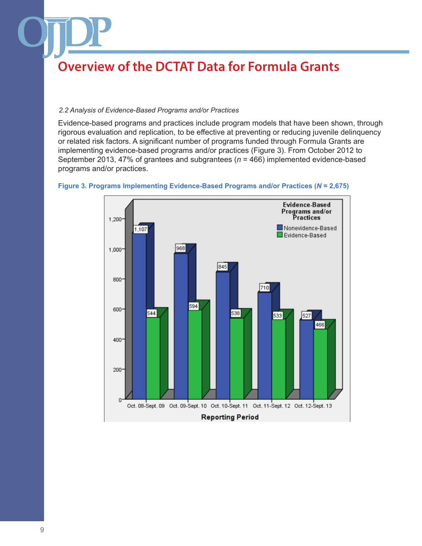### *2.2 Analysis of Evidence-Based Programs and/or Practices*

Evidence-based programs and practices include program models that have been shown, through rigorous evaluation and replication, to be effective at preventing or reducing juvenile delinquency or related risk factors. A significant number of programs funded through Formula Grants are implementing evidence-based programs and/or practices (Figure 3). From October 2012 to September 2013, 47% of grantees and subgrantees (*n* = 466) implemented evidence-based programs and/or practices.



#### **Figure 3. Programs Implementing Evidence-Based Programs and/or Practices (***N* **= 2,675)**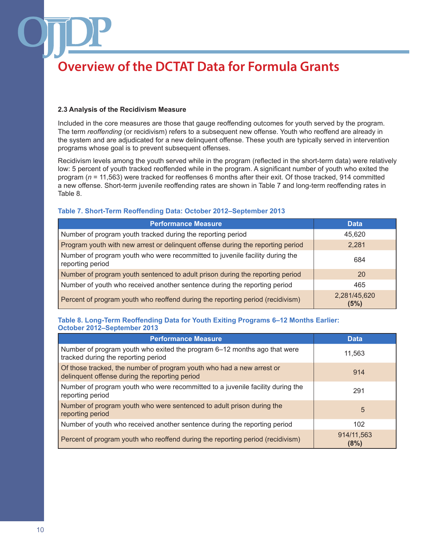### **2.3 Analysis of the Recidivism Measure**

Included in the core measures are those that gauge reoffending outcomes for youth served by the program. The term *reoffending* (or recidivism) refers to a subsequent new offense. Youth who reoffend are already in the system and are adjudicated for a new delinquent offense. These youth are typically served in intervention programs whose goal is to prevent subsequent offenses.

Recidivism levels among the youth served while in the program (reflected in the short-term data) were relatively low: 5 percent of youth tracked reoffended while in the program. A significant number of youth who exited the program (*n* = 11,563) were tracked for reoffenses 6 months after their exit. Of those tracked, 914 committed a new offense. Short-term juvenile reoffending rates are shown in Table 7 and long-term reoffending rates in Table 8.

### **Table 7. Short-Term Reoffending Data: October 2012–September 2013**

| <b>Performance Measure</b>                                                                       | <b>Data</b>          |
|--------------------------------------------------------------------------------------------------|----------------------|
| Number of program youth tracked during the reporting period                                      | 45,620               |
| Program youth with new arrest or delinquent offense during the reporting period                  | 2,281                |
| Number of program youth who were recommitted to juvenile facility during the<br>reporting period | 684                  |
| Number of program youth sentenced to adult prison during the reporting period                    | <b>20</b>            |
| Number of youth who received another sentence during the reporting period                        | 465                  |
| Percent of program youth who reoffend during the reporting period (recidivism)                   | 2,281/45,620<br>(5%) |

### **Table 8. Long-Term Reoffending Data for Youth Exiting Programs 6–12 Months Earlier: October 2012–September 2013**

| <b>Performance Measure</b>                                                                                              | <b>Data</b>        |
|-------------------------------------------------------------------------------------------------------------------------|--------------------|
| Number of program youth who exited the program 6–12 months ago that were<br>tracked during the reporting period         | 11.563             |
| Of those tracked, the number of program youth who had a new arrest or<br>delinquent offense during the reporting period | 914                |
| Number of program youth who were recommitted to a juvenile facility during the<br>reporting period                      | 291                |
| Number of program youth who were sentenced to adult prison during the<br>reporting period                               | 5                  |
| Number of youth who received another sentence during the reporting period                                               | 102                |
| Percent of program youth who reoffend during the reporting period (recidivism)                                          | 914/11,563<br>(8%) |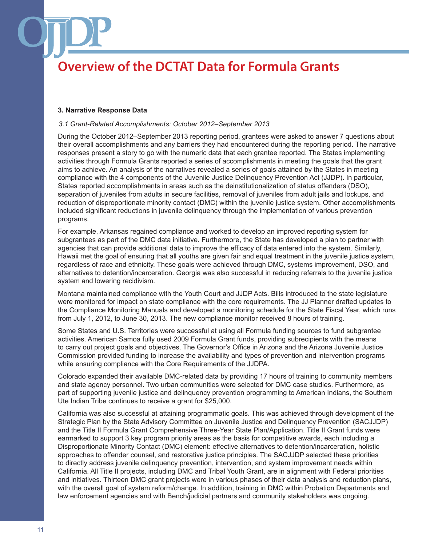#### **3. Narrative Response Data**

#### *3.1 Grant-Related Accomplishments: October 2012–September 2013*

During the October 2012–September 2013 reporting period, grantees were asked to answer 7 questions about their overall accomplishments and any barriers they had encountered during the reporting period. The narrative responses present a story to go with the numeric data that each grantee reported. The States implementing activities through Formula Grants reported a series of accomplishments in meeting the goals that the grant aims to achieve. An analysis of the narratives revealed a series of goals attained by the States in meeting compliance with the 4 components of the Juvenile Justice Delinquency Prevention Act (JJDP). In particular, States reported accomplishments in areas such as the deinstitutionalization of status offenders (DSO), separation of juveniles from adults in secure facilities, removal of juveniles from adult jails and lockups, and reduction of disproportionate minority contact (DMC) within the juvenile justice system. Other accomplishments included significant reductions in juvenile delinquency through the implementation of various prevention programs.

For example, Arkansas regained compliance and worked to develop an improved reporting system for subgrantees as part of the DMC data initiative. Furthermore, the State has developed a plan to partner with agencies that can provide additional data to improve the efficacy of data entered into the system. Similarly, Hawaii met the goal of ensuring that all youths are given fair and equal treatment in the juvenile justice system, regardless of race and ethnicity. These goals were achieved through DMC, systems improvement, DSO, and alternatives to detention/incarceration. Georgia was also successful in reducing referrals to the juvenile justice system and lowering recidivism.

Montana maintained compliance with the Youth Court and JJDP Acts. Bills introduced to the state legislature were monitored for impact on state compliance with the core requirements. The JJ Planner drafted updates to the Compliance Monitoring Manuals and developed a monitoring schedule for the State Fiscal Year, which runs from July 1, 2012, to June 30, 2013. The new compliance monitor received 8 hours of training.

Some States and U.S. Territories were successful at using all Formula funding sources to fund subgrantee activities. American Samoa fully used 2009 Formula Grant funds, providing subrecipients with the means to carry out project goals and objectives. The Governor's Office in Arizona and the Arizona Juvenile Justice Commission provided funding to increase the availability and types of prevention and intervention programs while ensuring compliance with the Core Requirements of the JJDPA.

Colorado expanded their available DMC-related data by providing 17 hours of training to community members and state agency personnel. Two urban communities were selected for DMC case studies. Furthermore, as part of supporting juvenile justice and delinquency prevention programming to American Indians, the Southern Ute Indian Tribe continues to receive a grant for \$25,000.

California was also successful at attaining programmatic goals. This was achieved through development of the Strategic Plan by the State Advisory Committee on Juvenile Justice and Delinquency Prevention (SACJJDP) and the Title II Formula Grant Comprehensive Three-Year State Plan/Application. Title II Grant funds were earmarked to support 3 key program priority areas as the basis for competitive awards, each including a Disproportionate Minority Contact (DMC) element: effective alternatives to detention/incarceration, holistic approaches to offender counsel, and restorative justice principles. The SACJJDP selected these priorities to directly address juvenile delinquency prevention, intervention, and system improvement needs within California. All Title II projects, including DMC and Tribal Youth Grant, are in alignment with Federal priorities and initiatives. Thirteen DMC grant projects were in various phases of their data analysis and reduction plans, with the overall goal of system reform/change. In addition, training in DMC within Probation Departments and law enforcement agencies and with Bench/judicial partners and community stakeholders was ongoing.